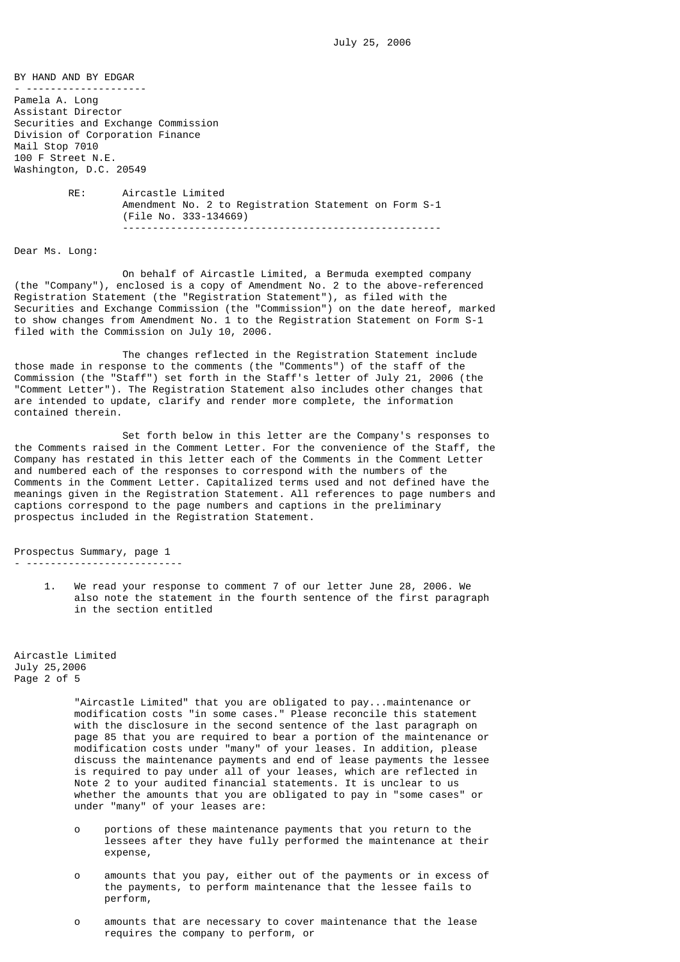-----------------------------------------------------

BY HAND AND BY EDGAR - -------------------- Pamela A. Long Assistant Director Securities and Exchange Commission Division of Corporation Finance Mail Stop 7010 100 F Street N.E. Washington, D.C. 20549 RE: Aircastle Limited Amendment No. 2 to Registration Statement on Form S-1 (File No. 333-134669)

Dear Ms. Long:

 On behalf of Aircastle Limited, a Bermuda exempted company (the "Company"), enclosed is a copy of Amendment No. 2 to the above-referenced Registration Statement (the "Registration Statement"), as filed with the Securities and Exchange Commission (the "Commission") on the date hereof, marked to show changes from Amendment No. 1 to the Registration Statement on Form S-1 filed with the Commission on July 10, 2006.

 The changes reflected in the Registration Statement include those made in response to the comments (the "Comments") of the staff of the Commission (the "Staff") set forth in the Staff's letter of July 21, 2006 (the "Comment Letter"). The Registration Statement also includes other changes that are intended to update, clarify and render more complete, the information contained therein.

 Set forth below in this letter are the Company's responses to the Comments raised in the Comment Letter. For the convenience of the Staff, the Company has restated in this letter each of the Comments in the Comment Letter and numbered each of the responses to correspond with the numbers of the Comments in the Comment Letter. Capitalized terms used and not defined have the meanings given in the Registration Statement. All references to page numbers and captions correspond to the page numbers and captions in the preliminary prospectus included in the Registration Statement.

Prospectus Summary, page 1 - --------------------------

> 1. We read your response to comment 7 of our letter June 28, 2006. We also note the statement in the fourth sentence of the first paragraph in the section entitled

Aircastle Limited July 25,2006 Page 2 of 5

> "Aircastle Limited" that you are obligated to pay...maintenance or modification costs "in some cases." Please reconcile this statement with the disclosure in the second sentence of the last paragraph on page 85 that you are required to bear a portion of the maintenance or modification costs under "many" of your leases. In addition, please discuss the maintenance payments and end of lease payments the lessee is required to pay under all of your leases, which are reflected in Note 2 to your audited financial statements. It is unclear to us whether the amounts that you are obligated to pay in "some cases" or under "many" of your leases are:

- o portions of these maintenance payments that you return to the lessees after they have fully performed the maintenance at their expense,
- o amounts that you pay, either out of the payments or in excess of the payments, to perform maintenance that the lessee fails to perform,
- o amounts that are necessary to cover maintenance that the lease requires the company to perform, or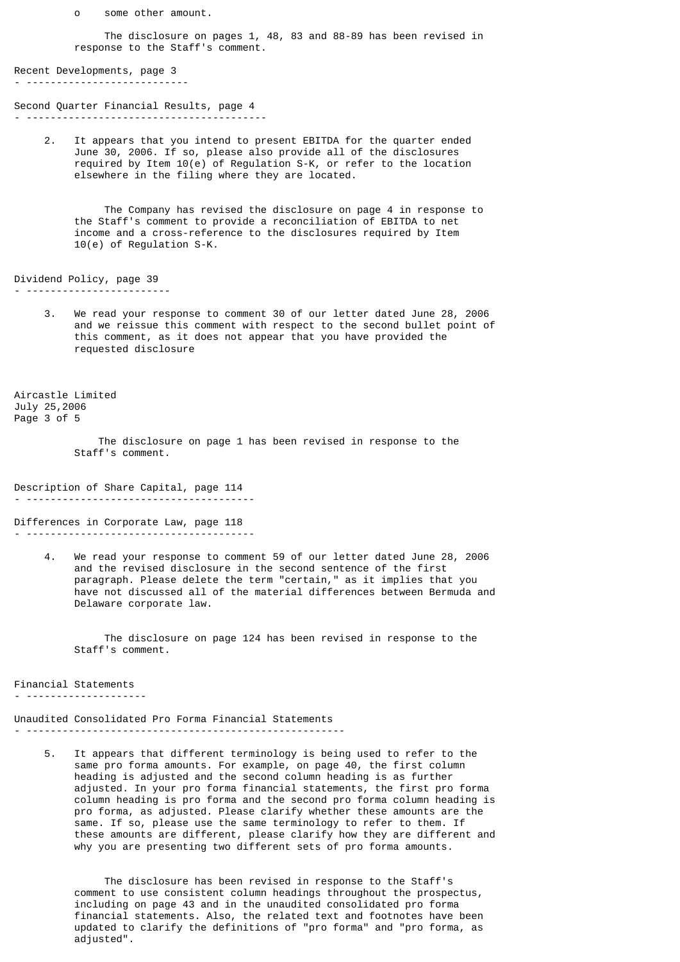o some other amount.

 The disclosure on pages 1, 48, 83 and 88-89 has been revised in response to the Staff's comment.

Recent Developments, page 3 - ---------------------------

Second Quarter Financial Results, page 4 - ----------------------------------------

> 2. It appears that you intend to present EBITDA for the quarter ended June 30, 2006. If so, please also provide all of the disclosures required by Item 10(e) of Regulation S-K, or refer to the location elsewhere in the filing where they are located.

 The Company has revised the disclosure on page 4 in response to the Staff's comment to provide a reconciliation of EBITDA to net income and a cross-reference to the disclosures required by Item 10(e) of Regulation S-K.

Dividend Policy, page 39 - ------------------------

> 3. We read your response to comment 30 of our letter dated June 28, 2006 and we reissue this comment with respect to the second bullet point of this comment, as it does not appear that you have provided the requested disclosure

Aircastle Limited July 25,2006 Page 3 of 5

> The disclosure on page 1 has been revised in response to the Staff's comment.

Description of Share Capital, page 114 - --------------------------------------

Differences in Corporate Law, page 118 - --------------------------------------

> 4. We read your response to comment 59 of our letter dated June 28, 2006 and the revised disclosure in the second sentence of the first paragraph. Please delete the term "certain," as it implies that you have not discussed all of the material differences between Bermuda and Delaware corporate law.

 The disclosure on page 124 has been revised in response to the Staff's comment.

Financial Statements - --------------------

Unaudited Consolidated Pro Forma Financial Statements - -----------------------------------------------------

 5. It appears that different terminology is being used to refer to the same pro forma amounts. For example, on page 40, the first column heading is adjusted and the second column heading is as further adjusted. In your pro forma financial statements, the first pro forma column heading is pro forma and the second pro forma column heading is pro forma, as adjusted. Please clarify whether these amounts are the same. If so, please use the same terminology to refer to them. If these amounts are different, please clarify how they are different and why you are presenting two different sets of pro forma amounts.

 The disclosure has been revised in response to the Staff's comment to use consistent column headings throughout the prospectus, including on page 43 and in the unaudited consolidated pro forma financial statements. Also, the related text and footnotes have been updated to clarify the definitions of "pro forma" and "pro forma, as adjusted".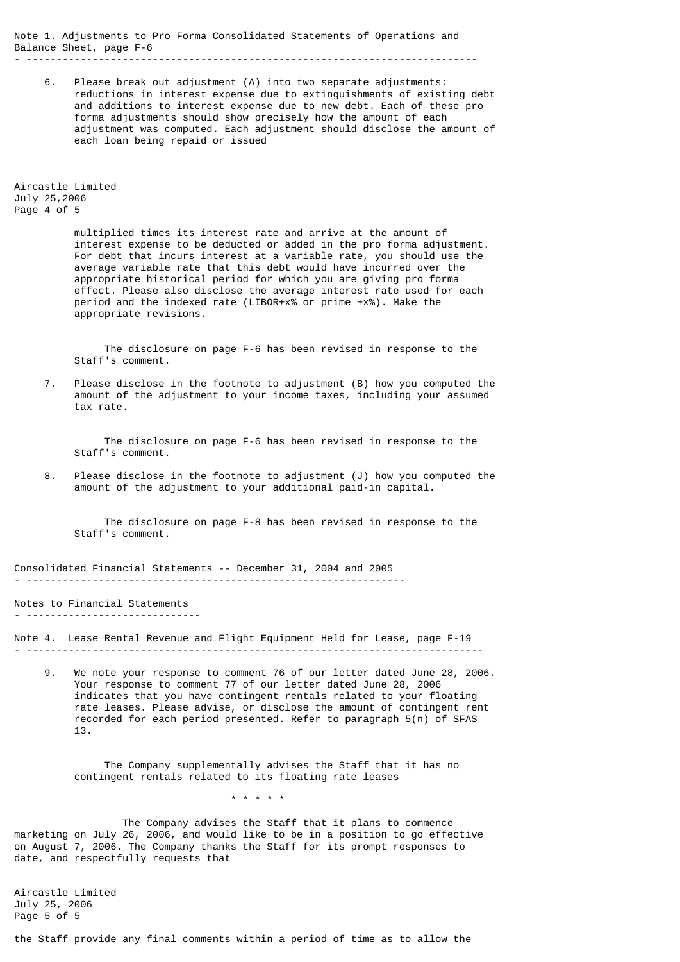Note 1. Adjustments to Pro Forma Consolidated Statements of Operations and Balance Sheet, page F-6

- ---------------------------------------------------------------------------

 6. Please break out adjustment (A) into two separate adjustments: reductions in interest expense due to extinguishments of existing debt and additions to interest expense due to new debt. Each of these pro forma adjustments should show precisely how the amount of each adjustment was computed. Each adjustment should disclose the amount of each loan being repaid or issued

Aircastle Limited July 25,2006 Page 4 of 5

> multiplied times its interest rate and arrive at the amount of interest expense to be deducted or added in the pro forma adjustment. For debt that incurs interest at a variable rate, you should use the average variable rate that this debt would have incurred over the appropriate historical period for which you are giving pro forma effect. Please also disclose the average interest rate used for each period and the indexed rate (LIBOR+x% or prime +x%). Make the appropriate revisions.

 The disclosure on page F-6 has been revised in response to the Staff's comment.

 7. Please disclose in the footnote to adjustment (B) how you computed the amount of the adjustment to your income taxes, including your assumed tax rate.

 The disclosure on page F-6 has been revised in response to the Staff's comment.

 8. Please disclose in the footnote to adjustment (J) how you computed the amount of the adjustment to your additional paid-in capital.

 The disclosure on page F-8 has been revised in response to the Staff's comment.

Consolidated Financial Statements -- December 31, 2004 and 2005 - ---------------------------------------------------------------

Notes to Financial Statements - -----------------------------

\* \* \* \* \*

Note 4. Lease Rental Revenue and Flight Equipment Held for Lease, page F-19 - ----------------------------------------------------------------------------

 9. We note your response to comment 76 of our letter dated June 28, 2006. Your response to comment 77 of our letter dated June 28, 2006 indicates that you have contingent rentals related to your floating rate leases. Please advise, or disclose the amount of contingent rent recorded for each period presented. Refer to paragraph 5(n) of SFAS 13.

 The Company supplementally advises the Staff that it has no contingent rentals related to its floating rate leases

 The Company advises the Staff that it plans to commence marketing on July 26, 2006, and would like to be in a position to go effective on August 7, 2006. The Company thanks the Staff for its prompt responses to date, and respectfully requests that

Aircastle Limited July 25, 2006 Page 5 of 5

the Staff provide any final comments within a period of time as to allow the